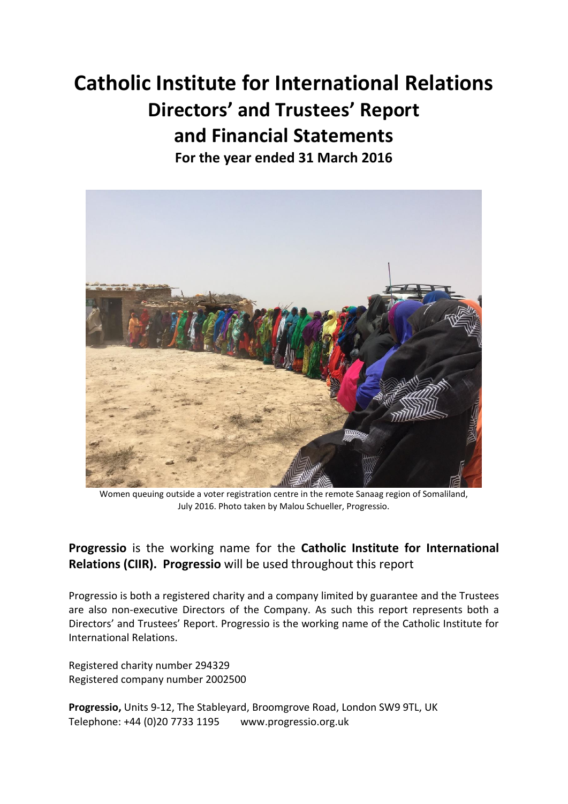# **Catholic Institute for International Relations Directors' and Trustees' Report and Financial Statements For the year ended 31 March 2016**

Women queuing outside a voter registration centre in the remote Sanaag region of Somaliland, July 2016. Photo taken by Malou Schueller, Progressio.

## **Progressio** is the working name for the **Catholic Institute for International Relations (CIIR). Progressio** will be used throughout this report

Progressio is both a registered charity and a company limited by guarantee and the Trustees are also non-executive Directors of the Company. As such this report represents both a Directors' and Trustees' Report. Progressio is the working name of the Catholic Institute for International Relations.

Registered charity number 294329 Registered company number 2002500

**Progressio,** Units 9-12, The Stableyard, Broomgrove Road, London SW9 9TL, UK Telephone: +44 (0)20 7733 1195 www.progressio.org.uk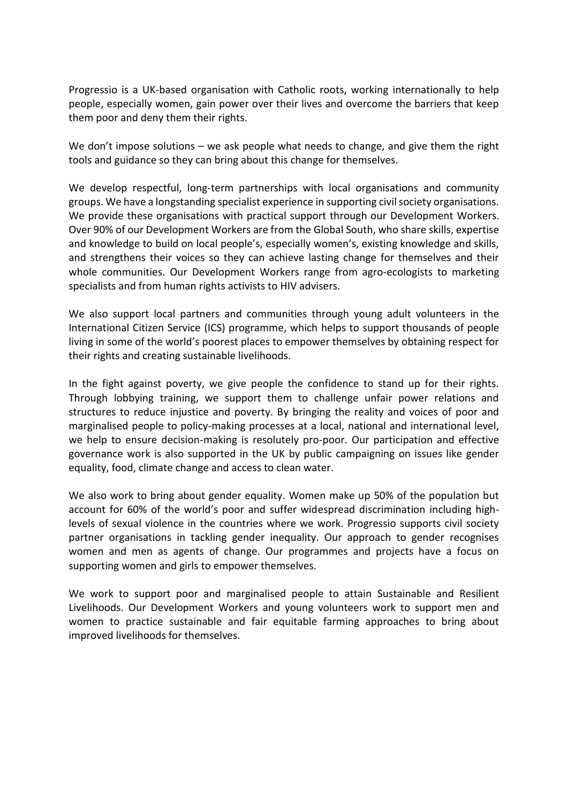Progressio is a UK-based organisation with Catholic roots, working internationally to help people, especially women, gain power over their lives and overcome the barriers that keep them poor and deny them their rights.

We don't impose solutions – we ask people what needs to change, and give them the right tools and guidance so they can bring about this change for themselves.

We develop respectful, long-term partnerships with local organisations and community groups. We have a longstanding specialist experience in supporting civil society organisations. We provide these organisations with practical support through our Development Workers. Over 90% of our Development Workers are from the Global South, who share skills, expertise and knowledge to build on local people's, especially women's, existing knowledge and skills, and strengthens their voices so they can achieve lasting change for themselves and their whole communities. Our Development Workers range from agro-ecologists to marketing specialists and from human rights activists to HIV advisers.

We also support local partners and communities through young adult volunteers in the International Citizen Service (ICS) programme, which helps to support thousands of people living in some of the world's poorest places to empower themselves by obtaining respect for their rights and creating sustainable livelihoods.

In the fight against poverty, we give people the confidence to stand up for their rights. Through lobbying training, we support them to challenge unfair power relations and structures to reduce injustice and poverty. By bringing the reality and voices of poor and marginalised people to policy-making processes at a local, national and international level, we help to ensure decision-making is resolutely pro-poor. Our participation and effective governance work is also supported in the UK by public campaigning on issues like gender equality, food, climate change and access to clean water.

We also work to bring about gender equality. Women make up 50% of the population but account for 60% of the world's poor and suffer widespread discrimination including highlevels of sexual violence in the countries where we work. Progressio supports civil society partner organisations in tackling gender inequality. Our approach to gender recognises women and men as agents of change. Our programmes and projects have a focus on supporting women and girls to empower themselves.

We work to support poor and marginalised people to attain Sustainable and Resilient Livelihoods. Our Development Workers and young volunteers work to support men and women to practice sustainable and fair equitable farming approaches to bring about improved livelihoods for themselves.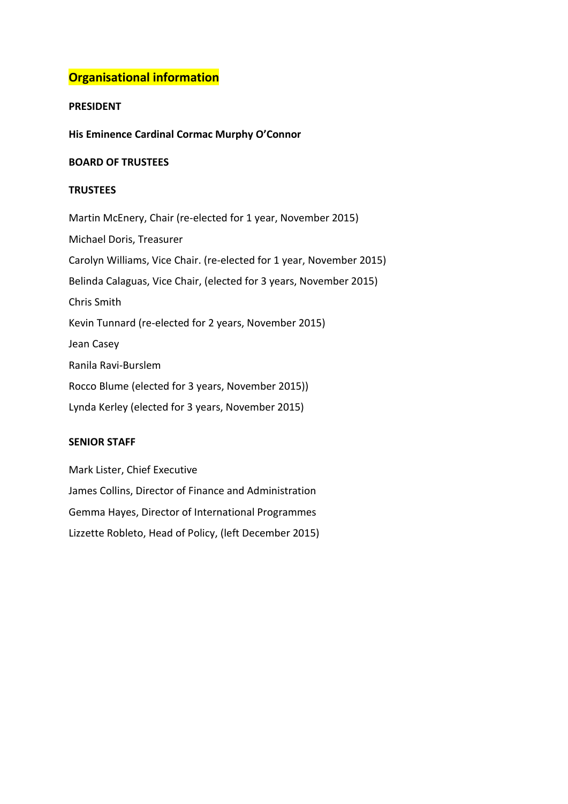## **Organisational information**

## **PRESIDENT**

**His Eminence Cardinal Cormac Murphy O'Connor** 

## **BOARD OF TRUSTEES**

## **TRUSTEES**

Martin McEnery, Chair (re-elected for 1 year, November 2015) Michael Doris, Treasurer Carolyn Williams, Vice Chair. (re-elected for 1 year, November 2015) Belinda Calaguas, Vice Chair, (elected for 3 years, November 2015) Chris Smith Kevin Tunnard (re-elected for 2 years, November 2015) Jean Casey Ranila Ravi-Burslem Rocco Blume (elected for 3 years, November 2015)) Lynda Kerley (elected for 3 years, November 2015)

## **SENIOR STAFF**

Mark Lister, Chief Executive James Collins, Director of Finance and Administration Gemma Hayes, Director of International Programmes Lizzette Robleto, Head of Policy, (left December 2015)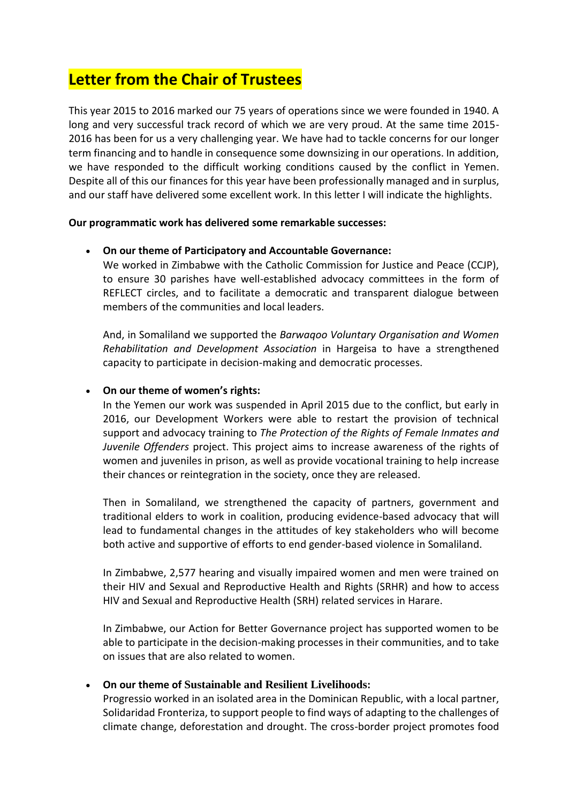## **Letter from the Chair of Trustees**

This year 2015 to 2016 marked our 75 years of operations since we were founded in 1940. A long and very successful track record of which we are very proud. At the same time 2015- 2016 has been for us a very challenging year. We have had to tackle concerns for our longer term financing and to handle in consequence some downsizing in our operations. In addition, we have responded to the difficult working conditions caused by the conflict in Yemen. Despite all of this our finances for this year have been professionally managed and in surplus, and our staff have delivered some excellent work. In this letter I will indicate the highlights.

## **Our programmatic work has delivered some remarkable successes:**

## **On our theme of Participatory and Accountable Governance:**

We worked in Zimbabwe with the Catholic Commission for Justice and Peace (CCJP), to ensure 30 parishes have well-established advocacy committees in the form of REFLECT circles, and to facilitate a democratic and transparent dialogue between members of the communities and local leaders.

And, in Somaliland we supported the *Barwaqoo Voluntary Organisation and Women Rehabilitation and Development Association* in Hargeisa to have a strengthened capacity to participate in decision-making and democratic processes.

## **On our theme of women's rights:**

In the Yemen our work was suspended in April 2015 due to the conflict, but early in 2016, our Development Workers were able to restart the provision of technical support and advocacy training to *The Protection of the Rights of Female Inmates and Juvenile Offenders* project. This project aims to increase awareness of the rights of women and juveniles in prison, as well as provide vocational training to help increase their chances or reintegration in the society, once they are released.

Then in Somaliland, we strengthened the capacity of partners, government and traditional elders to work in coalition, producing evidence-based advocacy that will lead to fundamental changes in the attitudes of key stakeholders who will become both active and supportive of efforts to end gender-based violence in Somaliland.

In Zimbabwe, 2,577 hearing and visually impaired women and men were trained on their HIV and Sexual and Reproductive Health and Rights (SRHR) and how to access HIV and Sexual and Reproductive Health (SRH) related services in Harare.

In Zimbabwe, our Action for Better Governance project has supported women to be able to participate in the decision-making processes in their communities, and to take on issues that are also related to women.

## **On our theme of Sustainable and Resilient Livelihoods:**

Progressio worked in an isolated area in the Dominican Republic, with a local partner, Solidaridad Fronteriza, to support people to find ways of adapting to the challenges of climate change, deforestation and drought. The cross-border project promotes food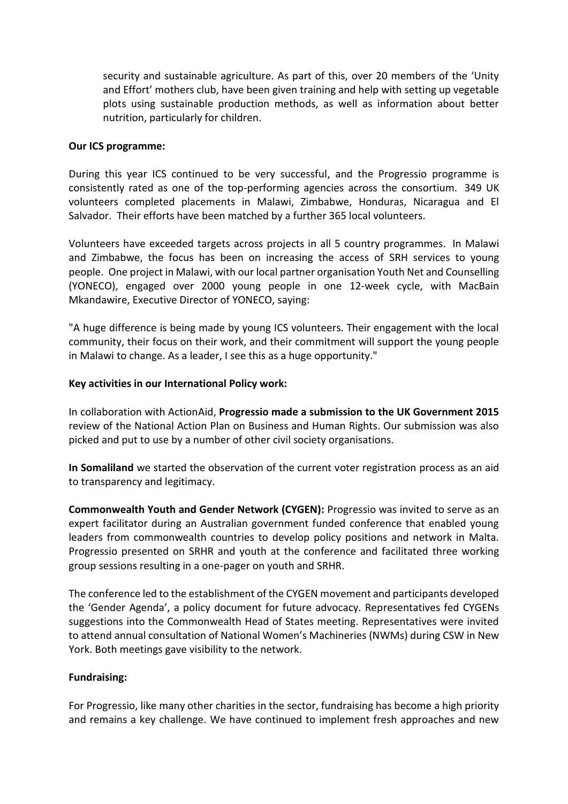security and sustainable agriculture. As part of this, over 20 members of the 'Unity and Effort' mothers club, have been given training and help with setting up vegetable plots using sustainable production methods, as well as information about better nutrition, particularly for children.

#### **Our ICS programme:**

During this year ICS continued to be very successful, and the Progressio programme is consistently rated as one of the top-performing agencies across the consortium. 349 UK volunteers completed placements in Malawi, Zimbabwe, Honduras, Nicaragua and El Salvador. Their efforts have been matched by a further 365 local volunteers.

Volunteers have exceeded targets across projects in all 5 country programmes. In Malawi and Zimbabwe, the focus has been on increasing the access of SRH services to young people. One project in Malawi, with our local partner organisation Youth Net and Counselling (YONECO), engaged over 2000 young people in one 12-week cycle, with MacBain Mkandawire, Executive Director of YONECO, saying:

"A huge difference is being made by young ICS volunteers. Their engagement with the local community, their focus on their work, and their commitment will support the young people in Malawi to change. As a leader, I see this as a huge opportunity."

## **Key activities in our International Policy work:**

In collaboration with ActionAid, **Progressio made a submission to the UK Government 2015** review of the National Action Plan on Business and Human Rights. Our submission was also picked and put to use by a number of other civil society organisations.

**In Somaliland** we started the observation of the current voter registration process as an aid to transparency and legitimacy.

**Commonwealth Youth and Gender Network (CYGEN):** Progressio was invited to serve as an expert facilitator during an Australian government funded conference that enabled young leaders from commonwealth countries to develop policy positions and network in Malta. Progressio presented on SRHR and youth at the conference and facilitated three working group sessions resulting in a one-pager on youth and SRHR.

The conference led to the establishment of the CYGEN movement and participants developed the 'Gender Agenda', a policy document for future advocacy. Representatives fed CYGENs suggestions into the Commonwealth Head of States meeting. Representatives were invited to attend annual consultation of National Women's Machineries (NWMs) during CSW in New York. Both meetings gave visibility to the network.

## **Fundraising:**

For Progressio, like many other charities in the sector, fundraising has become a high priority and remains a key challenge. We have continued to implement fresh approaches and new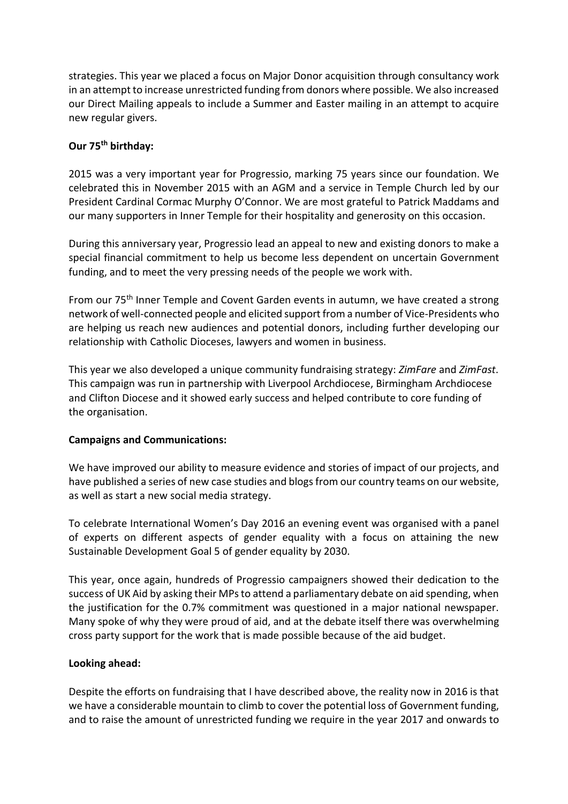strategies. This year we placed a focus on Major Donor acquisition through consultancy work in an attempt to increase unrestricted funding from donors where possible. We also increased our Direct Mailing appeals to include a Summer and Easter mailing in an attempt to acquire new regular givers.

## **Our 75th birthday:**

2015 was a very important year for Progressio, marking 75 years since our foundation. We celebrated this in November 2015 with an AGM and a service in Temple Church led by our President Cardinal Cormac Murphy O'Connor. We are most grateful to Patrick Maddams and our many supporters in Inner Temple for their hospitality and generosity on this occasion.

During this anniversary year, Progressio lead an appeal to new and existing donors to make a special financial commitment to help us become less dependent on uncertain Government funding, and to meet the very pressing needs of the people we work with.

From our 75<sup>th</sup> Inner Temple and Covent Garden events in autumn, we have created a strong network of well-connected people and elicited support from a number of Vice-Presidents who are helping us reach new audiences and potential donors, including further developing our relationship with Catholic Dioceses, lawyers and women in business.

This year we also developed a unique community fundraising strategy: *ZimFare* and *ZimFast*. This campaign was run in partnership with Liverpool Archdiocese, Birmingham Archdiocese and Clifton Diocese and it showed early success and helped contribute to core funding of the organisation.

## **Campaigns and Communications:**

We have improved our ability to measure evidence and stories of impact of our projects, and have published a series of new case studies and blogs from our country teams on our website, as well as start a new social media strategy.

To celebrate International Women's Day 2016 an evening event was organised with a panel of experts on different aspects of gender equality with a focus on attaining the new Sustainable Development Goal 5 of gender equality by 2030.

This year, once again, hundreds of Progressio campaigners showed their dedication to the success of UK Aid by asking their MPs to attend a parliamentary debate on aid spending, when the justification for the 0.7% commitment was questioned in a major national newspaper. Many spoke of why they were proud of aid, and at the debate itself there was overwhelming cross party support for the work that is made possible because of the aid budget.

## **Looking ahead:**

Despite the efforts on fundraising that I have described above, the reality now in 2016 is that we have a considerable mountain to climb to cover the potential loss of Government funding, and to raise the amount of unrestricted funding we require in the year 2017 and onwards to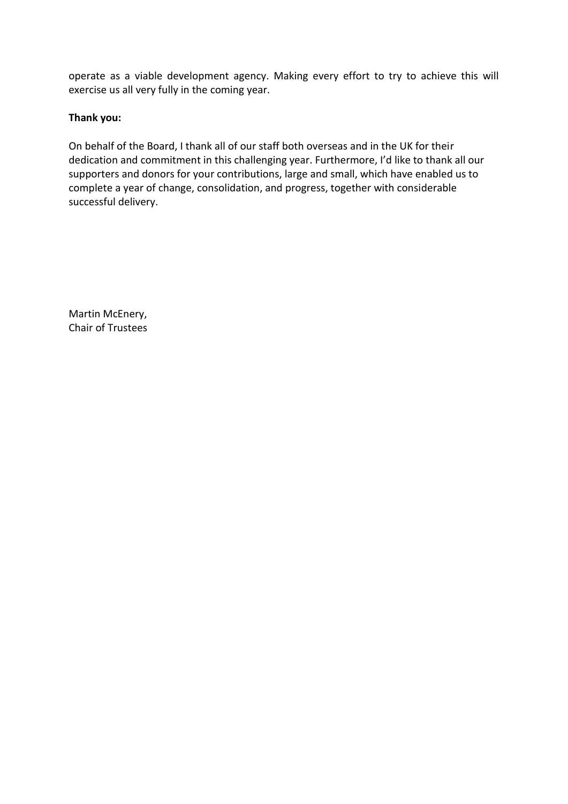operate as a viable development agency. Making every effort to try to achieve this will exercise us all very fully in the coming year.

## **Thank you:**

On behalf of the Board, I thank all of our staff both overseas and in the UK for their dedication and commitment in this challenging year. Furthermore, I'd like to thank all our supporters and donors for your contributions, large and small, which have enabled us to complete a year of change, consolidation, and progress, together with considerable successful delivery.

Martin McEnery, Chair of Trustees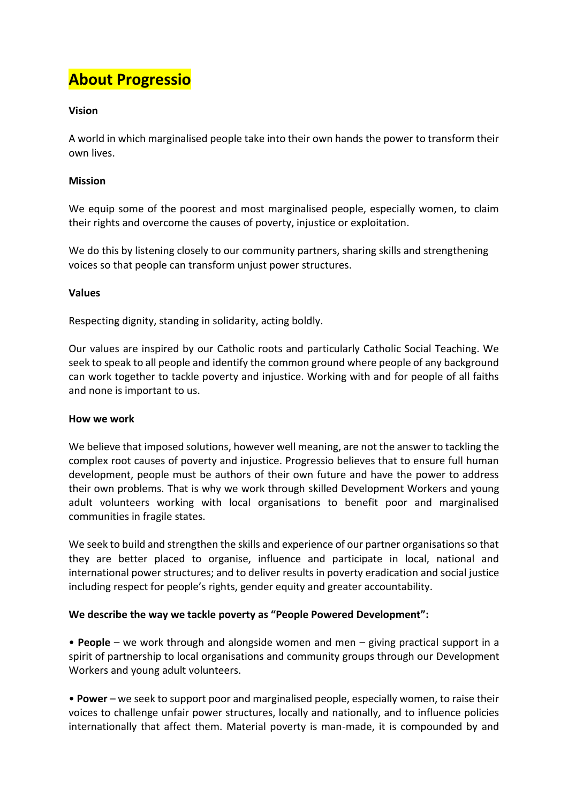## **About Progressio**

## **Vision**

A world in which marginalised people take into their own hands the power to transform their own lives.

## **Mission**

We equip some of the poorest and most marginalised people, especially women, to claim their rights and overcome the causes of poverty, injustice or exploitation.

We do this by listening closely to our community partners, sharing skills and strengthening voices so that people can transform unjust power structures.

## **Values**

Respecting dignity, standing in solidarity, acting boldly.

Our values are inspired by our Catholic roots and particularly Catholic Social Teaching. We seek to speak to all people and identify the common ground where people of any background can work together to tackle poverty and injustice. Working with and for people of all faiths and none is important to us.

## **How we work**

We believe that imposed solutions, however well meaning, are not the answer to tackling the complex root causes of poverty and injustice. Progressio believes that to ensure full human development, people must be authors of their own future and have the power to address their own problems. That is why we work through skilled Development Workers and young adult volunteers working with local organisations to benefit poor and marginalised communities in fragile states.

We seek to build and strengthen the skills and experience of our partner organisations so that they are better placed to organise, influence and participate in local, national and international power structures; and to deliver results in poverty eradication and social justice including respect for people's rights, gender equity and greater accountability.

## **We describe the way we tackle poverty as "People Powered Development":**

• **People** – we work through and alongside women and men – giving practical support in a spirit of partnership to local organisations and community groups through our Development Workers and young adult volunteers.

• **Power** – we seek to support poor and marginalised people, especially women, to raise their voices to challenge unfair power structures, locally and nationally, and to influence policies internationally that affect them. Material poverty is man-made, it is compounded by and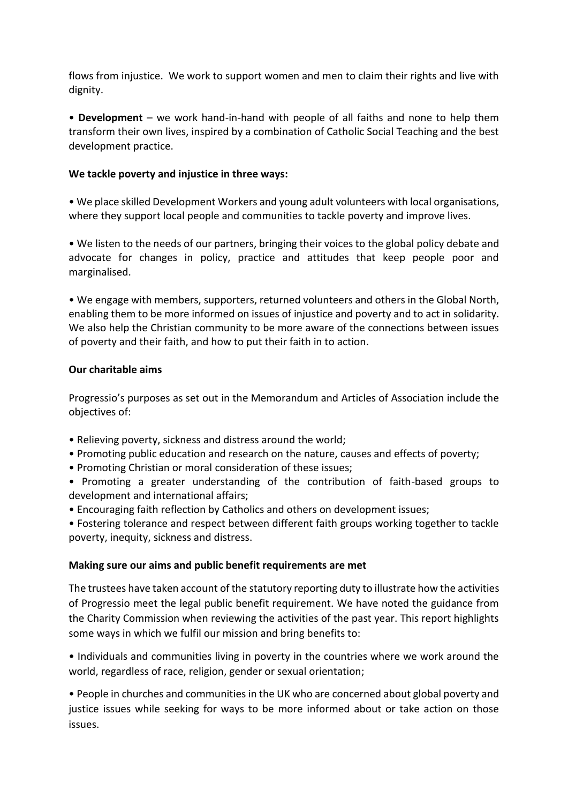flows from injustice. We work to support women and men to claim their rights and live with dignity.

• **Development** – we work hand-in-hand with people of all faiths and none to help them transform their own lives, inspired by a combination of Catholic Social Teaching and the best development practice.

## **We tackle poverty and injustice in three ways:**

• We place skilled Development Workers and young adult volunteers with local organisations, where they support local people and communities to tackle poverty and improve lives.

• We listen to the needs of our partners, bringing their voices to the global policy debate and advocate for changes in policy, practice and attitudes that keep people poor and marginalised.

• We engage with members, supporters, returned volunteers and others in the Global North, enabling them to be more informed on issues of injustice and poverty and to act in solidarity. We also help the Christian community to be more aware of the connections between issues of poverty and their faith, and how to put their faith in to action.

## **Our charitable aims**

Progressio's purposes as set out in the Memorandum and Articles of Association include the objectives of:

- Relieving poverty, sickness and distress around the world;
- Promoting public education and research on the nature, causes and effects of poverty;
- Promoting Christian or moral consideration of these issues;
- Promoting a greater understanding of the contribution of faith-based groups to development and international affairs;
- Encouraging faith reflection by Catholics and others on development issues;

• Fostering tolerance and respect between different faith groups working together to tackle poverty, inequity, sickness and distress.

## **Making sure our aims and public benefit requirements are met**

The trustees have taken account of the statutory reporting duty to illustrate how the activities of Progressio meet the legal public benefit requirement. We have noted the guidance from the Charity Commission when reviewing the activities of the past year. This report highlights some ways in which we fulfil our mission and bring benefits to:

• Individuals and communities living in poverty in the countries where we work around the world, regardless of race, religion, gender or sexual orientation;

• People in churches and communities in the UK who are concerned about global poverty and justice issues while seeking for ways to be more informed about or take action on those issues.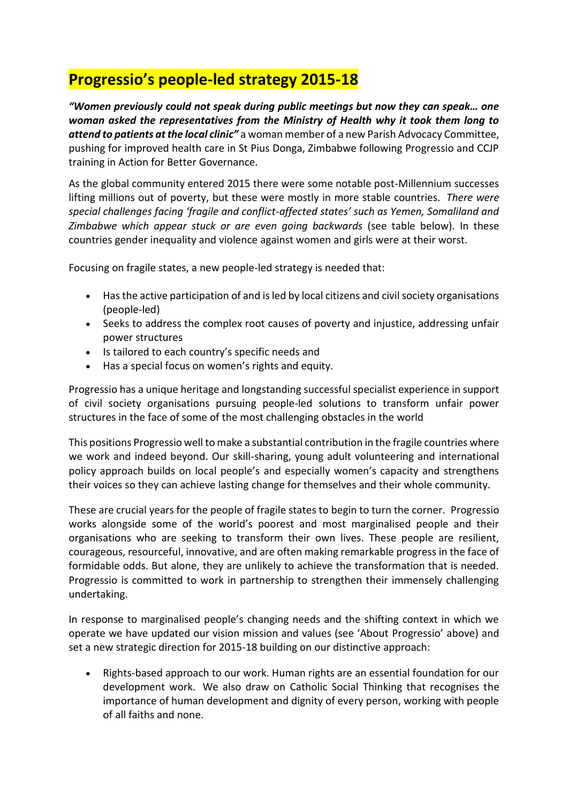## **Progressio's people-led strategy 2015-18**

*"Women previously could not speak during public meetings but now they can speak… one woman asked the representatives from the Ministry of Health why it took them long to attend to patients at the local clinic"* a woman member of a new Parish Advocacy Committee, pushing for improved health care in St Pius Donga, Zimbabwe following Progressio and CCJP training in Action for Better Governance.

As the global community entered 2015 there were some notable post-Millennium successes lifting millions out of poverty, but these were mostly in more stable countries. *There were special challenges facing 'fragile and conflict-affected states' such as Yemen, Somaliland and Zimbabwe which appear stuck or are even going backwards* (see table below). In these countries gender inequality and violence against women and girls were at their worst.

Focusing on fragile states, a new people-led strategy is needed that:

- Has the active participation of and is led by local citizens and civil society organisations (people-led)
- Seeks to address the complex root causes of poverty and injustice, addressing unfair power structures
- Is tailored to each country's specific needs and
- Has a special focus on women's rights and equity.

Progressio has a unique heritage and longstanding successful specialist experience in support of civil society organisations pursuing people-led solutions to transform unfair power structures in the face of some of the most challenging obstacles in the world

This positions Progressio well to make a substantial contribution in the fragile countries where we work and indeed beyond. Our skill-sharing, young adult volunteering and international policy approach builds on local people's and especially women's capacity and strengthens their voices so they can achieve lasting change for themselves and their whole community.

These are crucial years for the people of fragile states to begin to turn the corner. Progressio works alongside some of the world's poorest and most marginalised people and their organisations who are seeking to transform their own lives. These people are resilient, courageous, resourceful, innovative, and are often making remarkable progress in the face of formidable odds. But alone, they are unlikely to achieve the transformation that is needed. Progressio is committed to work in partnership to strengthen their immensely challenging undertaking.

In response to marginalised people's changing needs and the shifting context in which we operate we have updated our vision mission and values (see 'About Progressio' above) and set a new strategic direction for 2015-18 building on our distinctive approach:

 Rights-based approach to our work. Human rights are an essential foundation for our development work. We also draw on Catholic Social Thinking that recognises the importance of human development and dignity of every person, working with people of all faiths and none.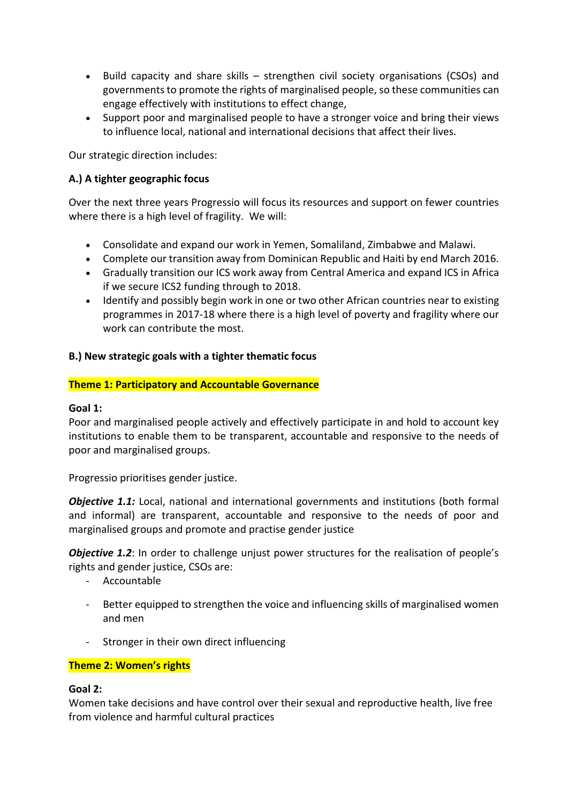- Build capacity and share skills strengthen civil society organisations (CSOs) and governments to promote the rights of marginalised people, so these communities can engage effectively with institutions to effect change,
- Support poor and marginalised people to have a stronger voice and bring their views to influence local, national and international decisions that affect their lives.

Our strategic direction includes:

## **A.) A tighter geographic focus**

Over the next three years Progressio will focus its resources and support on fewer countries where there is a high level of fragility. We will:

- Consolidate and expand our work in Yemen, Somaliland, Zimbabwe and Malawi.
- Complete our transition away from Dominican Republic and Haiti by end March 2016.
- Gradually transition our ICS work away from Central America and expand ICS in Africa if we secure ICS2 funding through to 2018.
- Identify and possibly begin work in one or two other African countries near to existing programmes in 2017-18 where there is a high level of poverty and fragility where our work can contribute the most.

## **B.) New strategic goals with a tighter thematic focus**

## **Theme 1: Participatory and Accountable Governance**

## **Goal 1:**

Poor and marginalised people actively and effectively participate in and hold to account key institutions to enable them to be transparent, accountable and responsive to the needs of poor and marginalised groups.

Progressio prioritises gender justice.

**Objective 1.1:** Local, national and international governments and institutions (both formal and informal) are transparent, accountable and responsive to the needs of poor and marginalised groups and promote and practise gender justice

*Objective 1.2*: In order to challenge unjust power structures for the realisation of people's rights and gender justice, CSOs are:

- Accountable
- Better equipped to strengthen the voice and influencing skills of marginalised women and men
- Stronger in their own direct influencing

## **Theme 2: Women's rights**

#### **Goal 2:**

Women take decisions and have control over their sexual and reproductive health, live free from violence and harmful cultural practices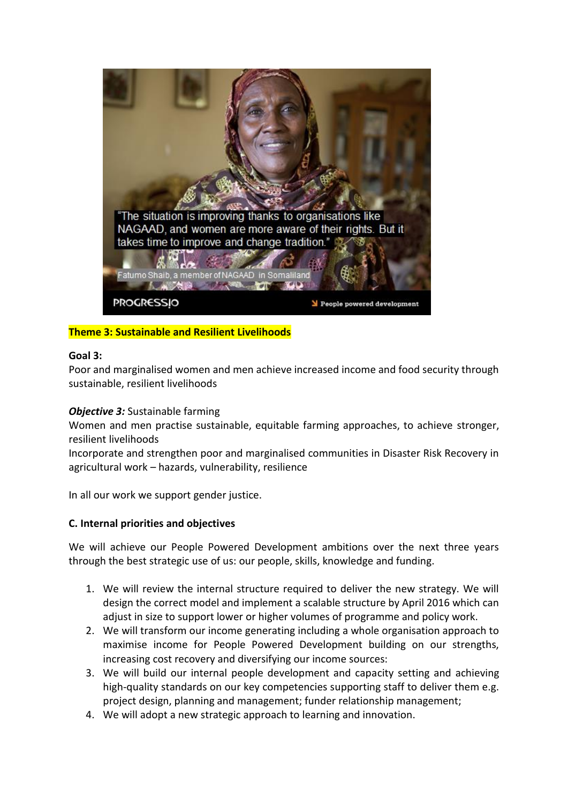

## **Theme 3: Sustainable and Resilient Livelihoods**

## **Goal 3:**

Poor and marginalised women and men achieve increased income and food security through sustainable, resilient livelihoods

## *Objective 3:* Sustainable farming

Women and men practise sustainable, equitable farming approaches, to achieve stronger, resilient livelihoods

Incorporate and strengthen poor and marginalised communities in Disaster Risk Recovery in agricultural work – hazards, vulnerability, resilience

In all our work we support gender justice.

## **C. Internal priorities and objectives**

We will achieve our People Powered Development ambitions over the next three years through the best strategic use of us: our people, skills, knowledge and funding.

- 1. We will review the internal structure required to deliver the new strategy. We will design the correct model and implement a scalable structure by April 2016 which can adjust in size to support lower or higher volumes of programme and policy work.
- 2. We will transform our income generating including a whole organisation approach to maximise income for People Powered Development building on our strengths, increasing cost recovery and diversifying our income sources:
- 3. We will build our internal people development and capacity setting and achieving high-quality standards on our key competencies supporting staff to deliver them e.g. project design, planning and management; funder relationship management;
- 4. We will adopt a new strategic approach to learning and innovation.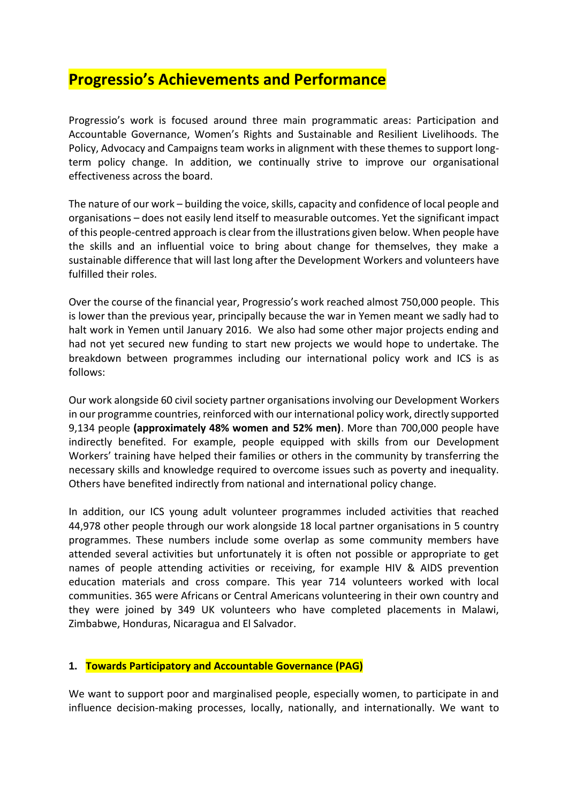## **Progressio's Achievements and Performance**

Progressio's work is focused around three main programmatic areas: Participation and Accountable Governance, Women's Rights and Sustainable and Resilient Livelihoods. The Policy, Advocacy and Campaigns team works in alignment with these themes to support longterm policy change. In addition, we continually strive to improve our organisational effectiveness across the board.

The nature of our work – building the voice, skills, capacity and confidence of local people and organisations – does not easily lend itself to measurable outcomes. Yet the significant impact of this people-centred approach is clear from the illustrations given below. When people have the skills and an influential voice to bring about change for themselves, they make a sustainable difference that will last long after the Development Workers and volunteers have fulfilled their roles.

Over the course of the financial year, Progressio's work reached almost 750,000 people. This is lower than the previous year, principally because the war in Yemen meant we sadly had to halt work in Yemen until January 2016. We also had some other major projects ending and had not yet secured new funding to start new projects we would hope to undertake. The breakdown between programmes including our international policy work and ICS is as follows:

Our work alongside 60 civil society partner organisations involving our Development Workers in our programme countries, reinforced with our international policy work, directly supported 9,134 people **(approximately 48% women and 52% men)**. More than 700,000 people have indirectly benefited. For example, people equipped with skills from our Development Workers' training have helped their families or others in the community by transferring the necessary skills and knowledge required to overcome issues such as poverty and inequality. Others have benefited indirectly from national and international policy change.

In addition, our ICS young adult volunteer programmes included activities that reached 44,978 other people through our work alongside 18 local partner organisations in 5 country programmes. These numbers include some overlap as some community members have attended several activities but unfortunately it is often not possible or appropriate to get names of people attending activities or receiving, for example HIV & AIDS prevention education materials and cross compare. This year 714 volunteers worked with local communities. 365 were Africans or Central Americans volunteering in their own country and they were joined by 349 UK volunteers who have completed placements in Malawi, Zimbabwe, Honduras, Nicaragua and El Salvador.

## **1. Towards Participatory and Accountable Governance (PAG)**

We want to support poor and marginalised people, especially women, to participate in and influence decision-making processes, locally, nationally, and internationally. We want to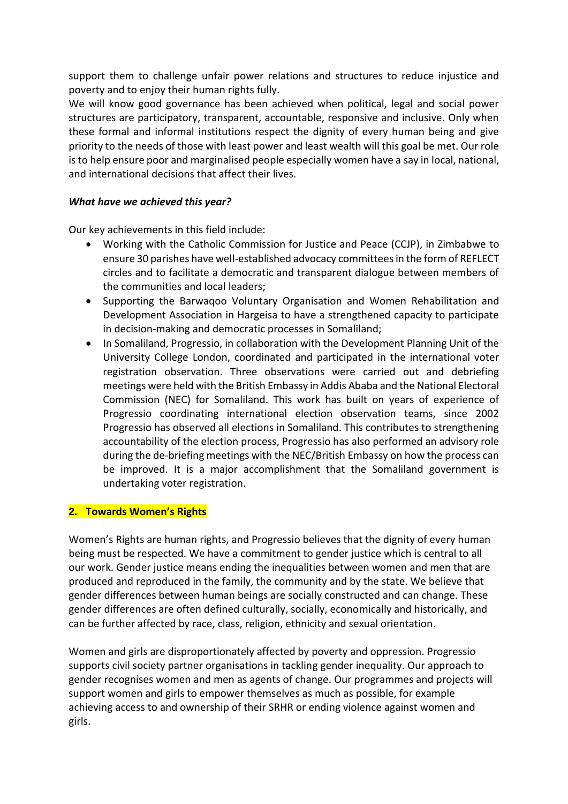support them to challenge unfair power relations and structures to reduce injustice and poverty and to enjoy their human rights fully.

We will know good governance has been achieved when political, legal and social power structures are participatory, transparent, accountable, responsive and inclusive. Only when these formal and informal institutions respect the dignity of every human being and give priority to the needs of those with least power and least wealth will this goal be met. Our role is to help ensure poor and marginalised people especially women have a say in local, national, and international decisions that affect their lives.

## *What have we achieved this year?*

Our key achievements in this field include:

- Working with the Catholic Commission for Justice and Peace (CCJP), in Zimbabwe to ensure 30 parishes have well-established advocacy committees in the form of REFLECT circles and to facilitate a democratic and transparent dialogue between members of the communities and local leaders;
- Supporting the Barwaqoo Voluntary Organisation and Women Rehabilitation and Development Association in Hargeisa to have a strengthened capacity to participate in decision-making and democratic processes in Somaliland;
- In Somaliland, Progressio, in collaboration with the Development Planning Unit of the University College London, coordinated and participated in the international voter registration observation. Three observations were carried out and debriefing meetings were held with the British Embassy in Addis Ababa and the National Electoral Commission (NEC) for Somaliland. This work has built on years of experience of Progressio coordinating international election observation teams, since 2002 Progressio has observed all elections in Somaliland. This contributes to strengthening accountability of the election process, Progressio has also performed an advisory role during the de-briefing meetings with the NEC/British Embassy on how the process can be improved. It is a major accomplishment that the Somaliland government is undertaking voter registration.

## **2. Towards Women's Rights**

Women's Rights are human rights, and Progressio believes that the dignity of every human being must be respected. We have a commitment to gender justice which is central to all our work. Gender justice means ending the inequalities between women and men that are produced and reproduced in the family, the community and by the state. We believe that gender differences between human beings are socially constructed and can change. These gender differences are often defined culturally, socially, economically and historically, and can be further affected by race, class, religion, ethnicity and sexual orientation.

Women and girls are disproportionately affected by poverty and oppression. Progressio supports civil society partner organisations in tackling gender inequality. Our approach to gender recognises women and men as agents of change. Our programmes and projects will support women and girls to empower themselves as much as possible, for example achieving access to and ownership of their SRHR or ending violence against women and girls.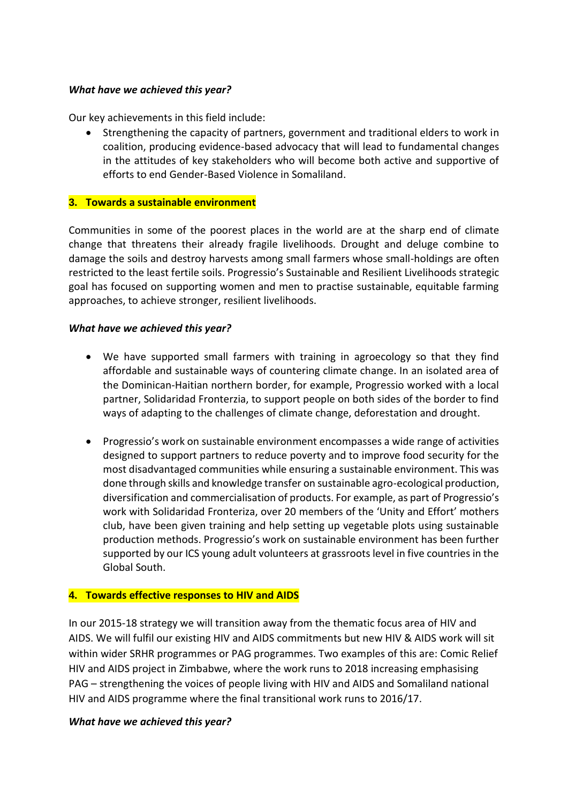## *What have we achieved this year?*

Our key achievements in this field include:

 Strengthening the capacity of partners, government and traditional elders to work in coalition, producing evidence-based advocacy that will lead to fundamental changes in the attitudes of key stakeholders who will become both active and supportive of efforts to end Gender-Based Violence in Somaliland.

## **3. Towards a sustainable environment**

Communities in some of the poorest places in the world are at the sharp end of climate change that threatens their already fragile livelihoods. Drought and deluge combine to damage the soils and destroy harvests among small farmers whose small-holdings are often restricted to the least fertile soils. Progressio's Sustainable and Resilient Livelihoods strategic goal has focused on supporting women and men to practise sustainable, equitable farming approaches, to achieve stronger, resilient livelihoods.

## *What have we achieved this year?*

- We have supported small farmers with training in agroecology so that they find affordable and sustainable ways of countering climate change. In an isolated area of the Dominican-Haitian northern border, for example, Progressio worked with a local partner, Solidaridad Fronterzia, to support people on both sides of the border to find ways of adapting to the challenges of climate change, deforestation and drought.
- Progressio's work on sustainable environment encompasses a wide range of activities designed to support partners to reduce poverty and to improve food security for the most disadvantaged communities while ensuring a sustainable environment. This was done through skills and knowledge transfer on sustainable agro-ecological production, diversification and commercialisation of products. For example, as part of Progressio's work with Solidaridad Fronteriza, over 20 members of the 'Unity and Effort' mothers club, have been given training and help setting up vegetable plots using sustainable production methods. Progressio's work on sustainable environment has been further supported by our ICS young adult volunteers at grassroots level in five countries in the Global South.

## **4. Towards effective responses to HIV and AIDS**

In our 2015-18 strategy we will transition away from the thematic focus area of HIV and AIDS. We will fulfil our existing HIV and AIDS commitments but new HIV & AIDS work will sit within wider SRHR programmes or PAG programmes. Two examples of this are: Comic Relief HIV and AIDS project in Zimbabwe, where the work runs to 2018 increasing emphasising PAG – strengthening the voices of people living with HIV and AIDS and Somaliland national HIV and AIDS programme where the final transitional work runs to 2016/17.

## *What have we achieved this year?*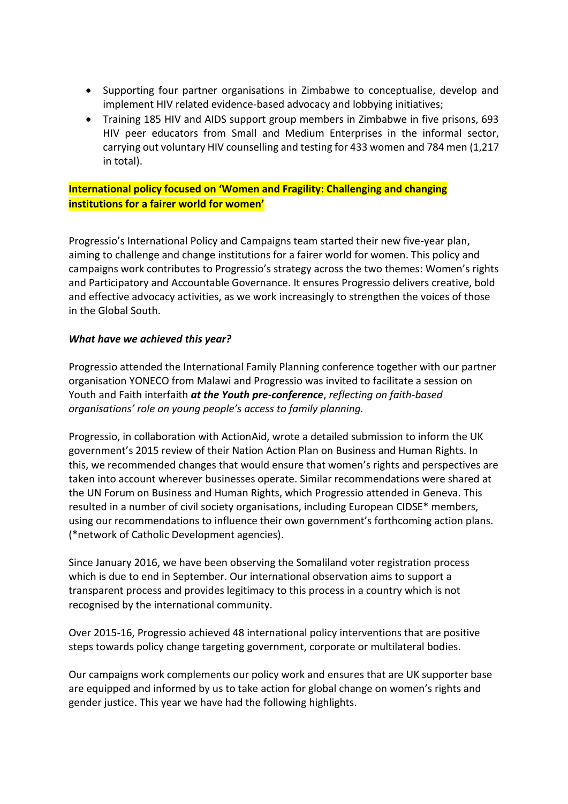- Supporting four partner organisations in Zimbabwe to conceptualise, develop and implement HIV related evidence-based advocacy and lobbying initiatives;
- Training 185 HIV and AIDS support group members in Zimbabwe in five prisons, 693 HIV peer educators from Small and Medium Enterprises in the informal sector, carrying out voluntary HIV counselling and testing for 433 women and 784 men (1,217 in total).

## **International policy focused on 'Women and Fragility: Challenging and changing institutions for a fairer world for women'**

Progressio's International Policy and Campaigns team started their new five-year plan, aiming to challenge and change institutions for a fairer world for women. This policy and campaigns work contributes to Progressio's strategy across the two themes: Women's rights and Participatory and Accountable Governance. It ensures Progressio delivers creative, bold and effective advocacy activities, as we work increasingly to strengthen the voices of those in the Global South.

## *What have we achieved this year?*

Progressio attended the International Family Planning conference together with our partner organisation YONECO from Malawi and Progressio was invited to facilitate a session on Youth and Faith interfaith *at the Youth pre-conference*, *reflecting on faith-based organisations' role on young people's access to family planning.*

Progressio, in collaboration with ActionAid, wrote a detailed submission to inform the UK government's 2015 review of their Nation Action Plan on Business and Human Rights. In this, we recommended changes that would ensure that women's rights and perspectives are taken into account wherever businesses operate. Similar recommendations were shared at the UN Forum on Business and Human Rights, which Progressio attended in Geneva. This resulted in a number of civil society organisations, including European CIDSE\* members, using our recommendations to influence their own government's forthcoming action plans. (\*network of Catholic Development agencies).

Since January 2016, we have been observing the Somaliland voter registration process which is due to end in September. Our international observation aims to support a transparent process and provides legitimacy to this process in a country which is not recognised by the international community.

Over 2015-16, Progressio achieved 48 international policy interventions that are positive steps towards policy change targeting government, corporate or multilateral bodies.

Our campaigns work complements our policy work and ensures that are UK supporter base are equipped and informed by us to take action for global change on women's rights and gender justice. This year we have had the following highlights.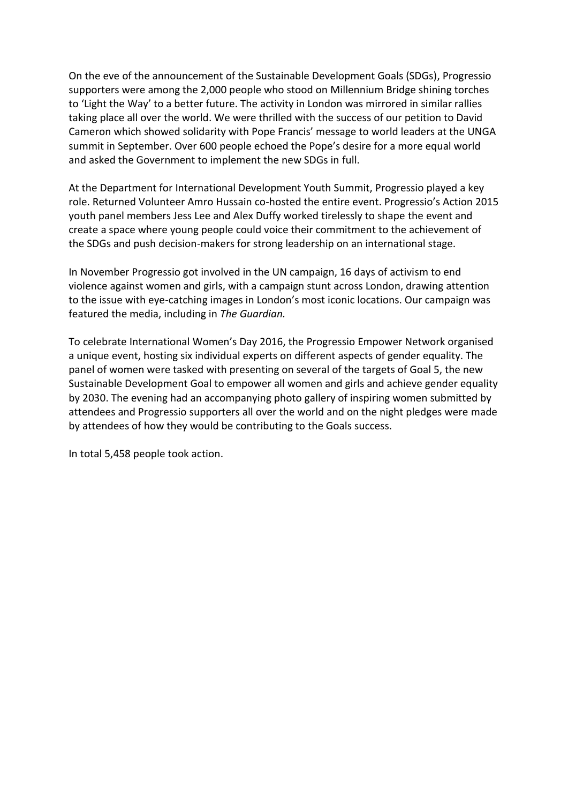On the eve of the announcement of the Sustainable Development Goals (SDGs), Progressio supporters were among the 2,000 people who stood on Millennium Bridge shining torches to 'Light the Way' to a better future. The activity in London was mirrored in similar rallies taking place all over the world. We were thrilled with the success of our petition to David Cameron which showed solidarity with Pope Francis' message to world leaders at the UNGA summit in September. Over 600 people echoed the Pope's desire for a more equal world and asked the Government to implement the new SDGs in full.

At the Department for International Development Youth Summit, Progressio played a key role. Returned Volunteer Amro Hussain co-hosted the entire event. Progressio's Action 2015 youth panel members Jess Lee and Alex Duffy worked tirelessly to shape the event and create a space where young people could voice their commitment to the achievement of the SDGs and push decision-makers for strong leadership on an international stage.

In November Progressio got involved in the UN campaign, 16 days of activism to end violence against women and girls, with a campaign stunt across London, drawing attention to the issue with eye-catching images in London's most iconic locations. Our campaign was featured the media, including in *The Guardian.* 

To celebrate International Women's Day 2016, the Progressio Empower Network organised a unique event, hosting six individual experts on different aspects of gender equality. The panel of women were tasked with presenting on several of the targets of Goal 5, the new Sustainable Development Goal to empower all women and girls and achieve gender equality by 2030. The evening had an accompanying photo gallery of inspiring women submitted by attendees and Progressio supporters all over the world and on the night pledges were made by attendees of how they would be contributing to the Goals success.

In total 5,458 people took action.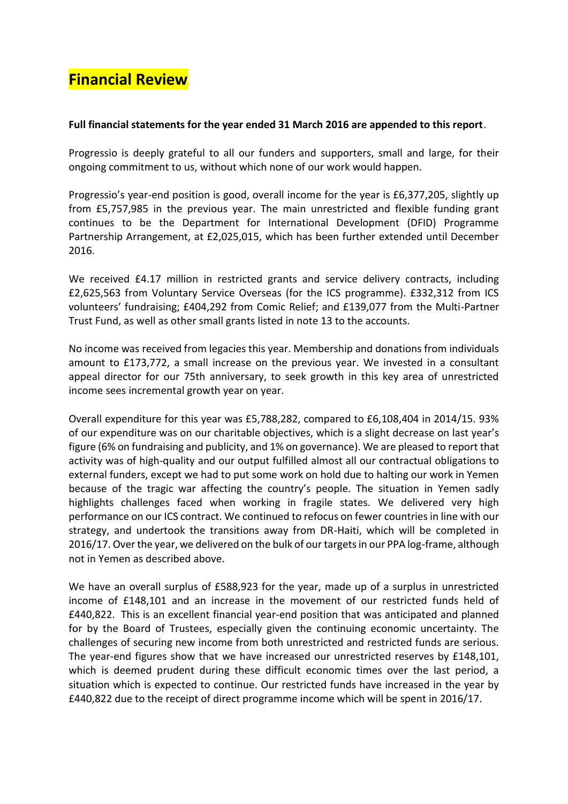## **Financial Review**

## **Full financial statements for the year ended 31 March 2016 are appended to this report**.

Progressio is deeply grateful to all our funders and supporters, small and large, for their ongoing commitment to us, without which none of our work would happen.

Progressio's year-end position is good, overall income for the year is £6,377,205, slightly up from £5,757,985 in the previous year. The main unrestricted and flexible funding grant continues to be the Department for International Development (DFID) Programme Partnership Arrangement, at £2,025,015, which has been further extended until December 2016.

We received £4.17 million in restricted grants and service delivery contracts, including £2,625,563 from Voluntary Service Overseas (for the ICS programme). £332,312 from ICS volunteers' fundraising; £404,292 from Comic Relief; and £139,077 from the Multi-Partner Trust Fund, as well as other small grants listed in note 13 to the accounts.

No income was received from legacies this year. Membership and donations from individuals amount to £173,772, a small increase on the previous year. We invested in a consultant appeal director for our 75th anniversary, to seek growth in this key area of unrestricted income sees incremental growth year on year.

Overall expenditure for this year was £5,788,282, compared to £6,108,404 in 2014/15. 93% of our expenditure was on our charitable objectives, which is a slight decrease on last year's figure (6% on fundraising and publicity, and 1% on governance). We are pleased to report that activity was of high-quality and our output fulfilled almost all our contractual obligations to external funders, except we had to put some work on hold due to halting our work in Yemen because of the tragic war affecting the country's people. The situation in Yemen sadly highlights challenges faced when working in fragile states. We delivered very high performance on our ICS contract. We continued to refocus on fewer countries in line with our strategy, and undertook the transitions away from DR-Haiti, which will be completed in 2016/17. Over the year, we delivered on the bulk of our targets in our PPA log-frame, although not in Yemen as described above.

We have an overall surplus of £588,923 for the year, made up of a surplus in unrestricted income of £148,101 and an increase in the movement of our restricted funds held of £440,822. This is an excellent financial year-end position that was anticipated and planned for by the Board of Trustees, especially given the continuing economic uncertainty. The challenges of securing new income from both unrestricted and restricted funds are serious. The year-end figures show that we have increased our unrestricted reserves by £148,101, which is deemed prudent during these difficult economic times over the last period, a situation which is expected to continue. Our restricted funds have increased in the year by £440,822 due to the receipt of direct programme income which will be spent in 2016/17.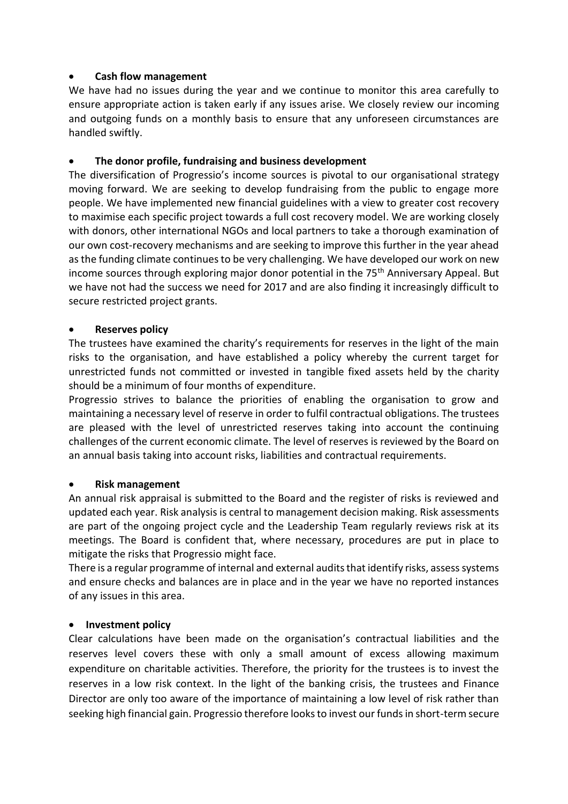## **Cash flow management**

We have had no issues during the year and we continue to monitor this area carefully to ensure appropriate action is taken early if any issues arise. We closely review our incoming and outgoing funds on a monthly basis to ensure that any unforeseen circumstances are handled swiftly.

## **The donor profile, fundraising and business development**

The diversification of Progressio's income sources is pivotal to our organisational strategy moving forward. We are seeking to develop fundraising from the public to engage more people. We have implemented new financial guidelines with a view to greater cost recovery to maximise each specific project towards a full cost recovery model. We are working closely with donors, other international NGOs and local partners to take a thorough examination of our own cost-recovery mechanisms and are seeking to improve this further in the year ahead as the funding climate continues to be very challenging. We have developed our work on new income sources through exploring major donor potential in the 75<sup>th</sup> Anniversary Appeal. But we have not had the success we need for 2017 and are also finding it increasingly difficult to secure restricted project grants.

## **Reserves policy**

The trustees have examined the charity's requirements for reserves in the light of the main risks to the organisation, and have established a policy whereby the current target for unrestricted funds not committed or invested in tangible fixed assets held by the charity should be a minimum of four months of expenditure.

Progressio strives to balance the priorities of enabling the organisation to grow and maintaining a necessary level of reserve in order to fulfil contractual obligations. The trustees are pleased with the level of unrestricted reserves taking into account the continuing challenges of the current economic climate. The level of reserves is reviewed by the Board on an annual basis taking into account risks, liabilities and contractual requirements.

## **Risk management**

An annual risk appraisal is submitted to the Board and the register of risks is reviewed and updated each year. Risk analysis is central to management decision making. Risk assessments are part of the ongoing project cycle and the Leadership Team regularly reviews risk at its meetings. The Board is confident that, where necessary, procedures are put in place to mitigate the risks that Progressio might face.

There is a regular programme of internal and external audits that identify risks, assess systems and ensure checks and balances are in place and in the year we have no reported instances of any issues in this area.

## **Investment policy**

Clear calculations have been made on the organisation's contractual liabilities and the reserves level covers these with only a small amount of excess allowing maximum expenditure on charitable activities. Therefore, the priority for the trustees is to invest the reserves in a low risk context. In the light of the banking crisis, the trustees and Finance Director are only too aware of the importance of maintaining a low level of risk rather than seeking high financial gain. Progressio therefore looks to invest our funds in short-term secure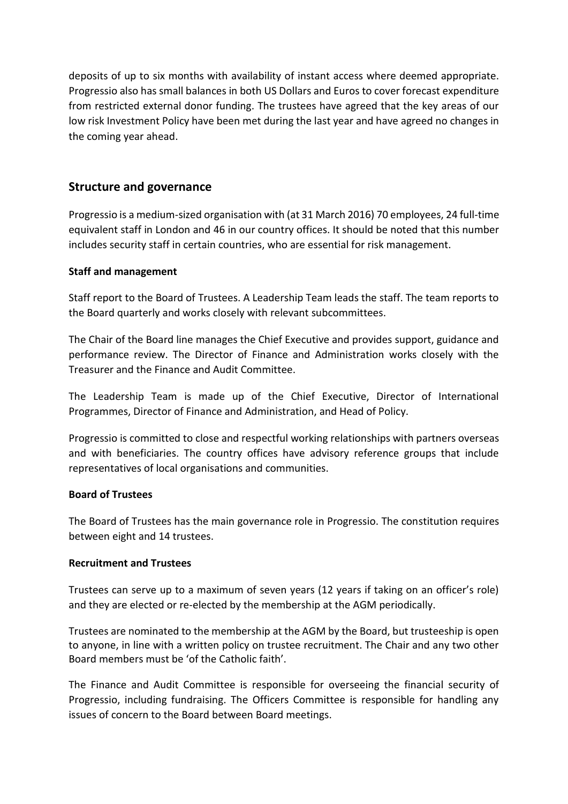deposits of up to six months with availability of instant access where deemed appropriate. Progressio also has small balances in both US Dollars and Euros to cover forecast expenditure from restricted external donor funding. The trustees have agreed that the key areas of our low risk Investment Policy have been met during the last year and have agreed no changes in the coming year ahead.

## **Structure and governance**

Progressio is a medium-sized organisation with (at 31 March 2016) 70 employees, 24 full-time equivalent staff in London and 46 in our country offices. It should be noted that this number includes security staff in certain countries, who are essential for risk management.

## **Staff and management**

Staff report to the Board of Trustees. A Leadership Team leads the staff. The team reports to the Board quarterly and works closely with relevant subcommittees.

The Chair of the Board line manages the Chief Executive and provides support, guidance and performance review. The Director of Finance and Administration works closely with the Treasurer and the Finance and Audit Committee.

The Leadership Team is made up of the Chief Executive, Director of International Programmes, Director of Finance and Administration, and Head of Policy.

Progressio is committed to close and respectful working relationships with partners overseas and with beneficiaries. The country offices have advisory reference groups that include representatives of local organisations and communities.

## **Board of Trustees**

The Board of Trustees has the main governance role in Progressio. The constitution requires between eight and 14 trustees.

## **Recruitment and Trustees**

Trustees can serve up to a maximum of seven years (12 years if taking on an officer's role) and they are elected or re-elected by the membership at the AGM periodically.

Trustees are nominated to the membership at the AGM by the Board, but trusteeship is open to anyone, in line with a written policy on trustee recruitment. The Chair and any two other Board members must be 'of the Catholic faith'.

The Finance and Audit Committee is responsible for overseeing the financial security of Progressio, including fundraising. The Officers Committee is responsible for handling any issues of concern to the Board between Board meetings.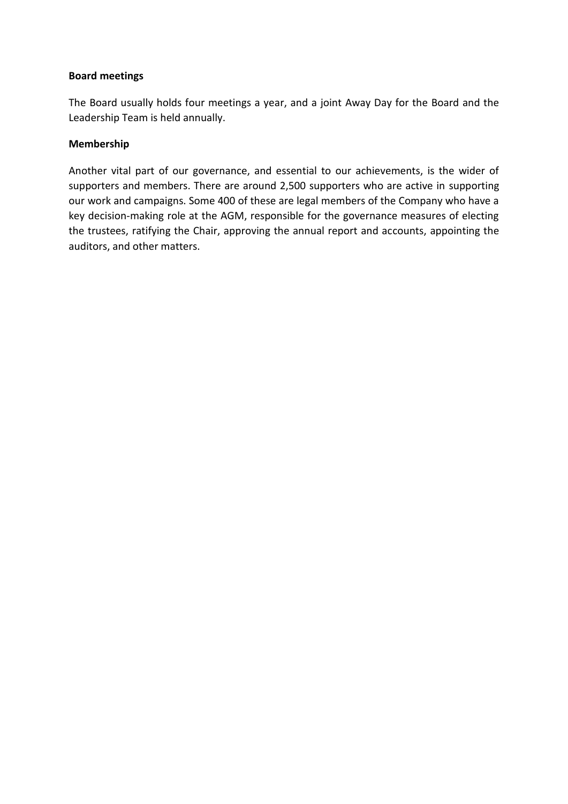## **Board meetings**

The Board usually holds four meetings a year, and a joint Away Day for the Board and the Leadership Team is held annually.

## **Membership**

Another vital part of our governance, and essential to our achievements, is the wider of supporters and members. There are around 2,500 supporters who are active in supporting our work and campaigns. Some 400 of these are legal members of the Company who have a key decision-making role at the AGM, responsible for the governance measures of electing the trustees, ratifying the Chair, approving the annual report and accounts, appointing the auditors, and other matters.